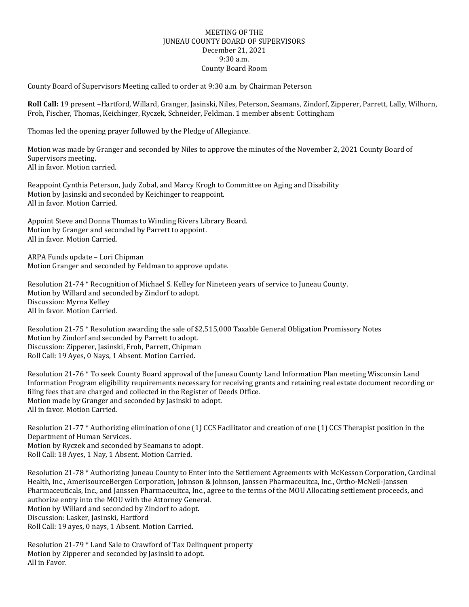## MEETING OF THE JUNEAU COUNTY BOARD OF SUPERVISORS December 21, 2021 9:30 a.m. County Board Room

County Board of Supervisors Meeting called to order at 9:30 a.m. by Chairman Peterson

**Roll Call:** 19 present –Hartford, Willard, Granger, Jasinski, Niles, Peterson, Seamans, Zindorf, Zipperer, Parrett, Lally, Wilhorn, Froh, Fischer, Thomas, Keichinger, Ryczek, Schneider, Feldman. 1 member absent: Cottingham

Thomas led the opening prayer followed by the Pledge of Allegiance.

Motion was made by Granger and seconded by Niles to approve the minutes of the November 2, 2021 County Board of Supervisors meeting. All in favor. Motion carried.

Reappoint Cynthia Peterson, Judy Zobal, and Marcy Krogh to Committee on Aging and Disability Motion by Jasinski and seconded by Keichinger to reappoint. All in favor. Motion Carried.

Appoint Steve and Donna Thomas to Winding Rivers Library Board. Motion by Granger and seconded by Parrett to appoint. All in favor. Motion Carried.

ARPA Funds update – Lori Chipman Motion Granger and seconded by Feldman to approve update.

Resolution 21-74 \* Recognition of Michael S. Kelley for Nineteen years of service to Juneau County. Motion by Willard and seconded by Zindorf to adopt. Discussion: Myrna Kelley All in favor. Motion Carried.

Resolution 21-75 \* Resolution awarding the sale of \$2,515,000 Taxable General Obligation Promissory Notes Motion by Zindorf and seconded by Parrett to adopt. Discussion: Zipperer, Jasinski, Froh, Parrett, Chipman Roll Call: 19 Ayes, 0 Nays, 1 Absent. Motion Carried.

Resolution 21-76 \* To seek County Board approval of the Juneau County Land Information Plan meeting Wisconsin Land Information Program eligibility requirements necessary for receiving grants and retaining real estate document recording or filing fees that are charged and collected in the Register of Deeds Office. Motion made by Granger and seconded by Jasinski to adopt. All in favor. Motion Carried.

Resolution 21-77 \* Authorizing elimination of one (1) CCS Facilitator and creation of one (1) CCS Therapist position in the Department of Human Services. Motion by Ryczek and seconded by Seamans to adopt. Roll Call: 18 Ayes, 1 Nay, 1 Absent. Motion Carried.

Resolution 21-78 \* Authorizing Juneau County to Enter into the Settlement Agreements with McKesson Corporation, Cardinal Health, Inc., AmerisourceBergen Corporation, Johnson & Johnson, Janssen Pharmaceuitca, Inc., Ortho-McNeil-Janssen Pharmaceuticals, Inc., and Janssen Pharmaceuitca, Inc., agree to the terms of the MOU Allocating settlement proceeds, and authorize entry into the MOU with the Attorney General. Motion by Willard and seconded by Zindorf to adopt. Discussion: Lasker, Jasinski, Hartford Roll Call: 19 ayes, 0 nays, 1 Absent. Motion Carried.

Resolution 21-79 \* Land Sale to Crawford of Tax Delinquent property Motion by Zipperer and seconded by Jasinski to adopt. All in Favor.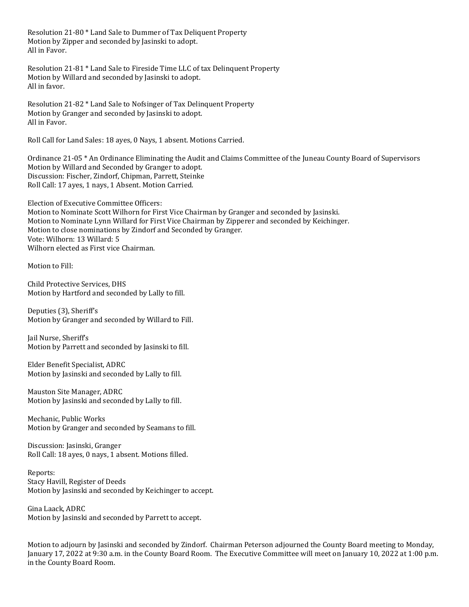Resolution 21-80 \* Land Sale to Dummer of Tax Deliquent Property Motion by Zipper and seconded by Jasinski to adopt. All in Favor.

Resolution 21-81 \* Land Sale to Fireside Time LLC of tax Delinquent Property Motion by Willard and seconded by Jasinski to adopt. All in favor.

Resolution 21-82 \* Land Sale to Nofsinger of Tax Delinquent Property Motion by Granger and seconded by Jasinski to adopt. All in Favor.

Roll Call for Land Sales: 18 ayes, 0 Nays, 1 absent. Motions Carried.

Ordinance 21-05 \* An Ordinance Eliminating the Audit and Claims Committee of the Juneau County Board of Supervisors Motion by Willard and Seconded by Granger to adopt. Discussion: Fischer, Zindorf, Chipman, Parrett, Steinke Roll Call: 17 ayes, 1 nays, 1 Absent. Motion Carried.

Election of Executive Committee Officers: Motion to Nominate Scott Wilhorn for First Vice Chairman by Granger and seconded by Jasinski. Motion to Nominate Lynn Willard for First Vice Chairman by Zipperer and seconded by Keichinger. Motion to close nominations by Zindorf and Seconded by Granger. Vote: Wilhorn: 13 Willard: 5 Wilhorn elected as First vice Chairman.

Motion to Fill:

Child Protective Services, DHS Motion by Hartford and seconded by Lally to fill.

Deputies (3), Sheriff's Motion by Granger and seconded by Willard to Fill.

Jail Nurse, Sheriff's Motion by Parrett and seconded by Jasinski to fill.

Elder Benefit Specialist, ADRC Motion by Jasinski and seconded by Lally to fill.

Mauston Site Manager, ADRC Motion by Jasinski and seconded by Lally to fill.

Mechanic, Public Works Motion by Granger and seconded by Seamans to fill.

Discussion: Jasinski, Granger Roll Call: 18 ayes, 0 nays, 1 absent. Motions filled.

Reports: Stacy Havill, Register of Deeds Motion by Jasinski and seconded by Keichinger to accept.

Gina Laack, ADRC Motion by Jasinski and seconded by Parrett to accept.

Motion to adjourn by Jasinski and seconded by Zindorf. Chairman Peterson adjourned the County Board meeting to Monday, January 17, 2022 at 9:30 a.m. in the County Board Room. The Executive Committee will meet on January 10, 2022 at 1:00 p.m. in the County Board Room.